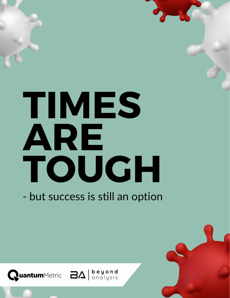# TIMES ARE TOUGH

- but success is still an option

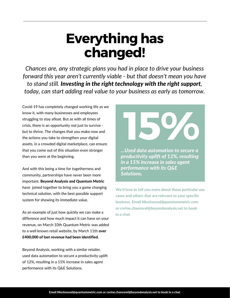## Everything has changed!

*Chances are, any strategic plans you had in place to drive your business forward this year aren't currently viable - but that doesn't mean you have to stand still. Investing in the right technology with the right support, today, can start adding real value to your business as early as tomorrow.*

Covid-19 has completely changed working life as we know it, with many businesses and employees struggling to stay afloat. But as with all times of crisis, there is an opportunity not just to survive but to thrive. The changes that you make now and the actions you take to strengthen your digital assets, in a crowded digital marketplace, can ensure that you come out of this situation even stronger than you were at the beginning.

And with this being a time for togetherness and community, partnerships have never been more important. Beyond Analysis and Quantum Metric have joined together to bring you a game changing technical solution, with the best possible support system for showing its immediate value.

As an example of just how quickly we can make a difference and how much impact it can have on your revenue, on March 10th Quantum Metric was added to a well known retail website, by March 11th over £400,000 of lost revenue had been identified.

Beyond Analysis, working with a similar retailer, used data automation to secure a productivity uplift of 12%, resulting in a 15% increase in sales agent performance with its Q&E Solutions.



*...Used data automation to secure a productivity uplift of 12%, resulting in a 15% increase in sales agent performance with its Q&E Solutions.*

We'd love to tell you more about these particular use cases and others that are relevant to your specific business. Email Nlockwood@quantummetric.com or corine.chancerel@beyondanalysis.net to book in a chat.